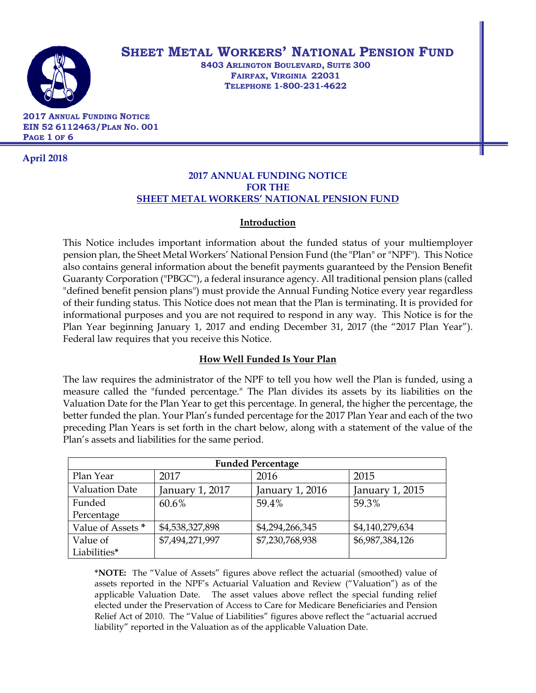

# **SHEET METAL WORKERS' NATIONAL PENSION FUND**

**8403 ARLINGTON BOULEVARD, SUITE 300 FAIRFAX, VIRGINIA 22031 TELEPHONE 1-800-231-4622**

 **2017 ANNUAL FUNDING NOTICE EIN 52 6112463/PLAN NO. 001 PAGE 1 OF 6**

 **April 2018**

# **2017 ANNUAL FUNDING NOTICE FOR THE SHEET METAL WORKERS' NATIONAL PENSION FUND**

# **Introduction**

This Notice includes important information about the funded status of your multiemployer pension plan, the Sheet Metal Workers' National Pension Fund (the "Plan" or "NPF"). This Notice also contains general information about the benefit payments guaranteed by the Pension Benefit Guaranty Corporation ("PBGC"), a federal insurance agency. All traditional pension plans (called "defined benefit pension plans") must provide the Annual Funding Notice every year regardless of their funding status. This Notice does not mean that the Plan is terminating. It is provided for informational purposes and you are not required to respond in any way. This Notice is for the Plan Year beginning January 1, 2017 and ending December 31, 2017 (the "2017 Plan Year"). Federal law requires that you receive this Notice.

# **How Well Funded Is Your Plan**

The law requires the administrator of the NPF to tell you how well the Plan is funded, using a measure called the "funded percentage." The Plan divides its assets by its liabilities on the Valuation Date for the Plan Year to get this percentage. In general, the higher the percentage, the better funded the plan. Your Plan's funded percentage for the 2017 Plan Year and each of the two preceding Plan Years is set forth in the chart below, along with a statement of the value of the Plan's assets and liabilities for the same period.

| <b>Funded Percentage</b>     |                 |                 |                 |  |
|------------------------------|-----------------|-----------------|-----------------|--|
| Plan Year                    | 2017            | 2016            | 2015            |  |
| <b>Valuation Date</b>        | January 1, 2017 | January 1, 2016 | January 1, 2015 |  |
| Funded                       | 60.6%           | 59.4%           | 59.3%           |  |
| Percentage                   |                 |                 |                 |  |
| Value of Assets <sup>*</sup> | \$4,538,327,898 | \$4,294,266,345 | \$4,140,279,634 |  |
| Value of                     | \$7,494,271,997 | \$7,230,768,938 | \$6,987,384,126 |  |
| Liabilities*                 |                 |                 |                 |  |

**\*NOTE:** The "Value of Assets" figures above reflect the actuarial (smoothed) value of assets reported in the NPF's Actuarial Valuation and Review ("Valuation") as of the applicable Valuation Date. The asset values above reflect the special funding relief elected under the Preservation of Access to Care for Medicare Beneficiaries and Pension Relief Act of 2010. The "Value of Liabilities" figures above reflect the "actuarial accrued liability" reported in the Valuation as of the applicable Valuation Date.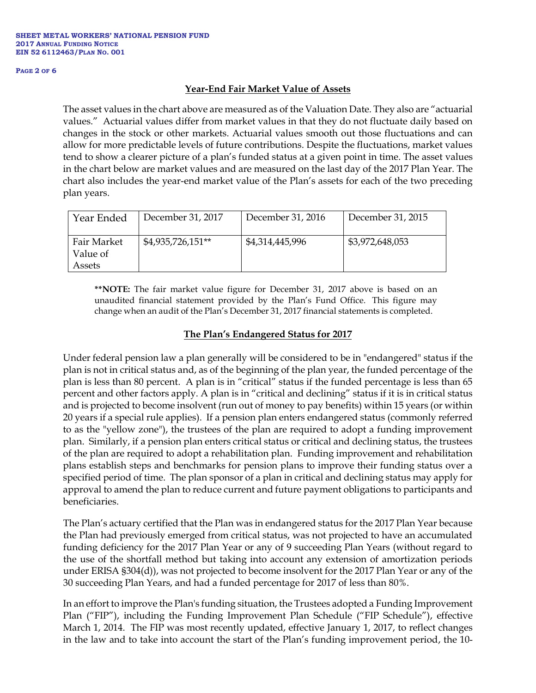#### **PAGE 2 OF 6**

#### **Year-End Fair Market Value of Assets**

The asset values in the chart above are measured as of the Valuation Date. They also are "actuarial values." Actuarial values differ from market values in that they do not fluctuate daily based on changes in the stock or other markets. Actuarial values smooth out those fluctuations and can allow for more predictable levels of future contributions. Despite the fluctuations, market values tend to show a clearer picture of a plan's funded status at a given point in time. The asset values in the chart below are market values and are measured on the last day of the 2017 Plan Year. The chart also includes the year-end market value of the Plan's assets for each of the two preceding plan years.

| Year Ended                        | December 31, 2017  | December 31, 2016 | December 31, 2015 |
|-----------------------------------|--------------------|-------------------|-------------------|
| Fair Market<br>Value of<br>Assets | $$4,935,726,151**$ | \$4,314,445,996   | \$3,972,648,053   |

**\*\*NOTE:** The fair market value figure for December 31, 2017 above is based on an unaudited financial statement provided by the Plan's Fund Office. This figure may change when an audit of the Plan's December 31, 2017 financial statements is completed.

### **The Plan's Endangered Status for 2017**

Under federal pension law a plan generally will be considered to be in "endangered" status if the plan is not in critical status and, as of the beginning of the plan year, the funded percentage of the plan is less than 80 percent. A plan is in "critical" status if the funded percentage is less than 65 percent and other factors apply. A plan is in "critical and declining" status if it is in critical status and is projected to become insolvent (run out of money to pay benefits) within 15 years (or within 20 years if a special rule applies). If a pension plan enters endangered status (commonly referred to as the "yellow zone"), the trustees of the plan are required to adopt a funding improvement plan. Similarly, if a pension plan enters critical status or critical and declining status, the trustees of the plan are required to adopt a rehabilitation plan. Funding improvement and rehabilitation plans establish steps and benchmarks for pension plans to improve their funding status over a specified period of time. The plan sponsor of a plan in critical and declining status may apply for approval to amend the plan to reduce current and future payment obligations to participants and beneficiaries.

The Plan's actuary certified that the Plan was in endangered status for the 2017 Plan Year because the Plan had previously emerged from critical status, was not projected to have an accumulated funding deficiency for the 2017 Plan Year or any of 9 succeeding Plan Years (without regard to the use of the shortfall method but taking into account any extension of amortization periods under ERISA §304(d)), was not projected to become insolvent for the 2017 Plan Year or any of the 30 succeeding Plan Years, and had a funded percentage for 2017 of less than 80%.

In an effort to improve the Plan's funding situation, the Trustees adopted a Funding Improvement Plan ("FIP"), including the Funding Improvement Plan Schedule ("FIP Schedule"), effective March 1, 2014. The FIP was most recently updated, effective January 1, 2017, to reflect changes in the law and to take into account the start of the Plan's funding improvement period, the 10-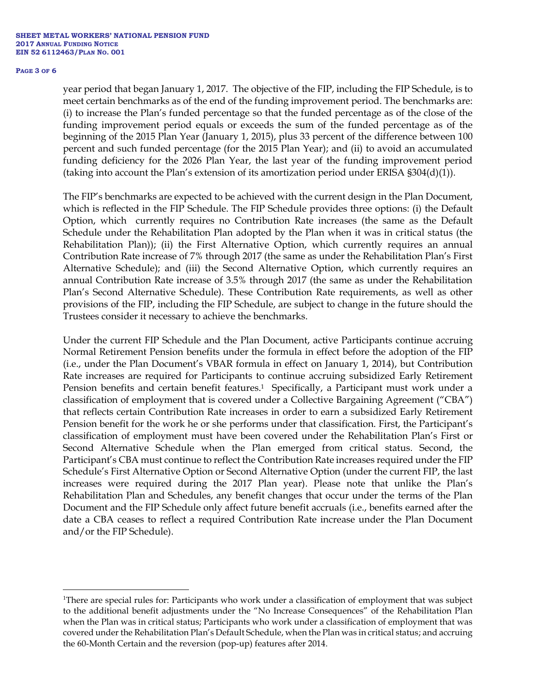#### **PAGE 3 OF 6**

 $\overline{a}$ 

year period that began January 1, 2017. The objective of the FIP, including the FIP Schedule, is to meet certain benchmarks as of the end of the funding improvement period. The benchmarks are: (i) to increase the Plan's funded percentage so that the funded percentage as of the close of the funding improvement period equals or exceeds the sum of the funded percentage as of the beginning of the 2015 Plan Year (January 1, 2015), plus 33 percent of the difference between 100 percent and such funded percentage (for the 2015 Plan Year); and (ii) to avoid an accumulated funding deficiency for the 2026 Plan Year, the last year of the funding improvement period (taking into account the Plan's extension of its amortization period under ERISA §304(d)(1)).

The FIP's benchmarks are expected to be achieved with the current design in the Plan Document, which is reflected in the FIP Schedule. The FIP Schedule provides three options: (i) the Default Option, which currently requires no Contribution Rate increases (the same as the Default Schedule under the Rehabilitation Plan adopted by the Plan when it was in critical status (the Rehabilitation Plan)); (ii) the First Alternative Option, which currently requires an annual Contribution Rate increase of 7% through 2017 (the same as under the Rehabilitation Plan's First Alternative Schedule); and (iii) the Second Alternative Option, which currently requires an annual Contribution Rate increase of 3.5% through 2017 (the same as under the Rehabilitation Plan's Second Alternative Schedule). These Contribution Rate requirements, as well as other provisions of the FIP, including the FIP Schedule, are subject to change in the future should the Trustees consider it necessary to achieve the benchmarks.

Under the current FIP Schedule and the Plan Document, active Participants continue accruing Normal Retirement Pension benefits under the formula in effect before the adoption of the FIP (i.e., under the Plan Document's VBAR formula in effect on January 1, 2014), but Contribution Rate increases are required for Participants to continue accruing subsidized Early Retirement Pension benefits and certain benefit features.<sup>1</sup> Specifically, a Participant must work under a classification of employment that is covered under a Collective Bargaining Agreement ("CBA") that reflects certain Contribution Rate increases in order to earn a subsidized Early Retirement Pension benefit for the work he or she performs under that classification. First, the Participant's classification of employment must have been covered under the Rehabilitation Plan's First or Second Alternative Schedule when the Plan emerged from critical status. Second, the Participant's CBA must continue to reflect the Contribution Rate increases required under the FIP Schedule's First Alternative Option or Second Alternative Option (under the current FIP, the last increases were required during the 2017 Plan year). Please note that unlike the Plan's Rehabilitation Plan and Schedules, any benefit changes that occur under the terms of the Plan Document and the FIP Schedule only affect future benefit accruals (i.e., benefits earned after the date a CBA ceases to reflect a required Contribution Rate increase under the Plan Document and/or the FIP Schedule).

<sup>1</sup>There are special rules for: Participants who work under a classification of employment that was subject to the additional benefit adjustments under the "No Increase Consequences" of the Rehabilitation Plan when the Plan was in critical status; Participants who work under a classification of employment that was covered under the Rehabilitation Plan's Default Schedule, when the Plan was in critical status; and accruing the 60-Month Certain and the reversion (pop-up) features after 2014.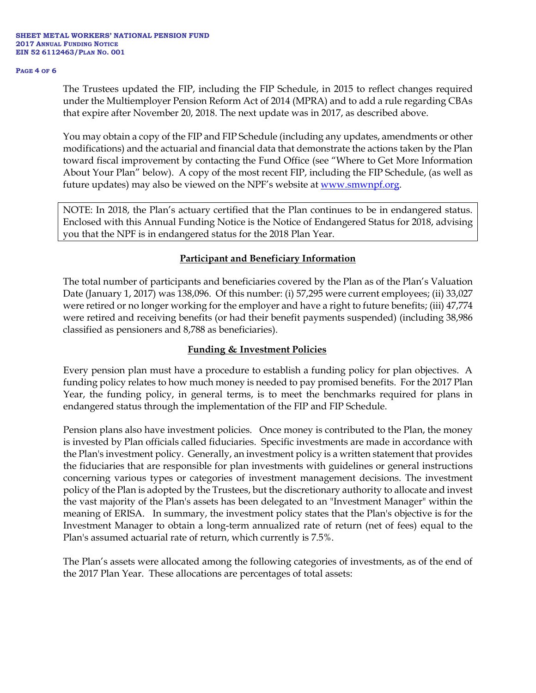#### **PAGE 4 OF 6**

The Trustees updated the FIP, including the FIP Schedule, in 2015 to reflect changes required under the Multiemployer Pension Reform Act of 2014 (MPRA) and to add a rule regarding CBAs that expire after November 20, 2018. The next update was in 2017, as described above.

You may obtain a copy of the FIP and FIP Schedule (including any updates, amendments or other modifications) and the actuarial and financial data that demonstrate the actions taken by the Plan toward fiscal improvement by contacting the Fund Office (see "Where to Get More Information About Your Plan" below). A copy of the most recent FIP, including the FIP Schedule, (as well as future updates) may also be viewed on the NPF's website at [www.smwnpf.org.](http://www.smwnpf.org/)

NOTE: In 2018, the Plan's actuary certified that the Plan continues to be in endangered status. Enclosed with this Annual Funding Notice is the Notice of Endangered Status for 2018, advising you that the NPF is in endangered status for the 2018 Plan Year.

### **Participant and Beneficiary Information**

The total number of participants and beneficiaries covered by the Plan as of the Plan's Valuation Date (January 1, 2017) was 138,096. Of this number: (i) 57,295 were current employees; (ii) 33,027 were retired or no longer working for the employer and have a right to future benefits; (iii) 47,774 were retired and receiving benefits (or had their benefit payments suspended) (including 38,986 classified as pensioners and 8,788 as beneficiaries).

## **Funding & Investment Policies**

Every pension plan must have a procedure to establish a funding policy for plan objectives. A funding policy relates to how much money is needed to pay promised benefits. For the 2017 Plan Year, the funding policy, in general terms, is to meet the benchmarks required for plans in endangered status through the implementation of the FIP and FIP Schedule.

Pension plans also have investment policies. Once money is contributed to the Plan, the money is invested by Plan officials called fiduciaries. Specific investments are made in accordance with the Plan's investment policy. Generally, an investment policy is a written statement that provides the fiduciaries that are responsible for plan investments with guidelines or general instructions concerning various types or categories of investment management decisions. The investment policy of the Plan is adopted by the Trustees, but the discretionary authority to allocate and invest the vast majority of the Plan's assets has been delegated to an "Investment Manager" within the meaning of ERISA. In summary, the investment policy states that the Plan's objective is for the Investment Manager to obtain a long-term annualized rate of return (net of fees) equal to the Plan's assumed actuarial rate of return, which currently is 7.5%.

The Plan's assets were allocated among the following categories of investments, as of the end of the 2017 Plan Year. These allocations are percentages of total assets: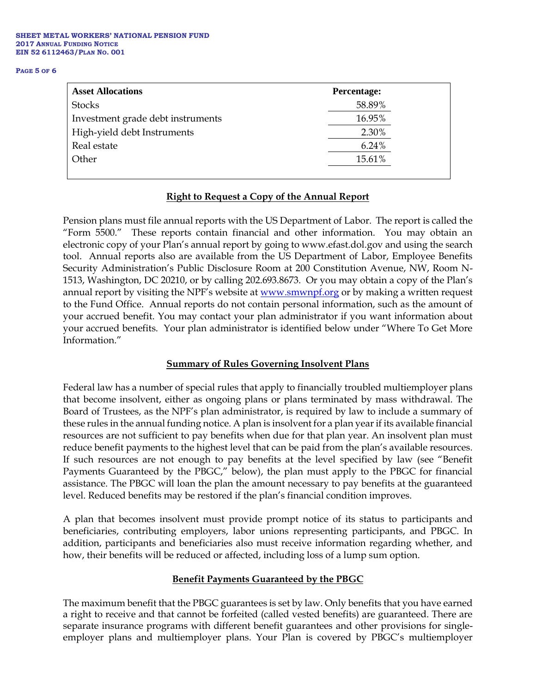#### **PAGE 5 OF 6**

| <b>Percentage:</b> |  |
|--------------------|--|
| 58.89%             |  |
| 16.95%             |  |
| 2.30%              |  |
| 6.24%              |  |
| 15.61%             |  |
|                    |  |

### **Right to Request a Copy of the Annual Report**

Pension plans must file annual reports with the US Department of Labor. The report is called the "Form 5500." These reports contain financial and other information. You may obtain an electronic copy of your Plan's annual report by going to www.efast.dol.gov and using the search tool. Annual reports also are available from the US Department of Labor, Employee Benefits Security Administration's Public Disclosure Room at 200 Constitution Avenue, NW, Room N-1513, Washington, DC 20210, or by calling 202.693.8673. Or you may obtain a copy of the Plan's annual report by visiting the NPF's website at [www.smwnpf.org](http://www.smwnpf.org/) or by making a written request to the Fund Office. Annual reports do not contain personal information, such as the amount of your accrued benefit. You may contact your plan administrator if you want information about your accrued benefits. Your plan administrator is identified below under "Where To Get More Information."

### **Summary of Rules Governing Insolvent Plans**

Federal law has a number of special rules that apply to financially troubled multiemployer plans that become insolvent, either as ongoing plans or plans terminated by mass withdrawal. The Board of Trustees, as the NPF's plan administrator, is required by law to include a summary of these rules in the annual funding notice. A plan is insolvent for a plan year if its available financial resources are not sufficient to pay benefits when due for that plan year. An insolvent plan must reduce benefit payments to the highest level that can be paid from the plan's available resources. If such resources are not enough to pay benefits at the level specified by law (see "Benefit Payments Guaranteed by the PBGC," below), the plan must apply to the PBGC for financial assistance. The PBGC will loan the plan the amount necessary to pay benefits at the guaranteed level. Reduced benefits may be restored if the plan's financial condition improves.

A plan that becomes insolvent must provide prompt notice of its status to participants and beneficiaries, contributing employers, labor unions representing participants, and PBGC. In addition, participants and beneficiaries also must receive information regarding whether, and how, their benefits will be reduced or affected, including loss of a lump sum option.

#### **Benefit Payments Guaranteed by the PBGC**

The maximum benefit that the PBGC guarantees is set by law. Only benefits that you have earned a right to receive and that cannot be forfeited (called vested benefits) are guaranteed. There are separate insurance programs with different benefit guarantees and other provisions for singleemployer plans and multiemployer plans. Your Plan is covered by PBGC's multiemployer